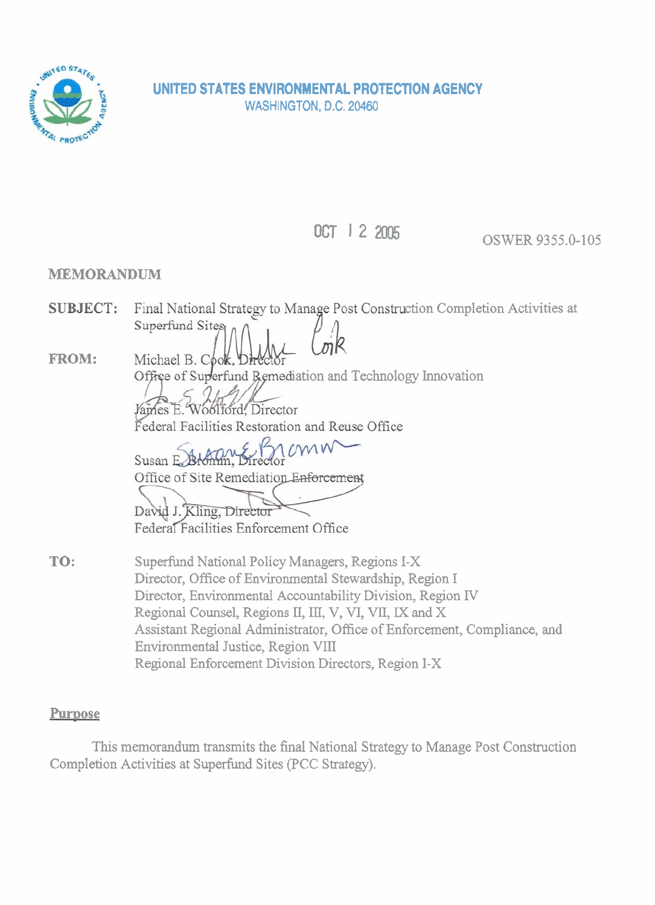

**OCT 1** 2 **2005** OSWER 9355.0-105

# **MEMORANDUM**

- Final National Strategy to Manage Post Construction Completion Activities at **SUBJECT:** Superfund Sites
- **FROM:**  Michael B. Cook, D Office of Superfund Remediation and Technology Innovation

James E. Woolford, Director Federal Facilities Restoration and Reuse Office

 $MN$ Susan E Brontin, Bu Office of Site Remediation Enforcement

David J. Kling, Director Federal Facilities Enforcement Office

**TO:**  Superfund National Policy Managers, Regions I-X Director, Office of Environmental Stewardship, Region I Director, Environmental Accountability Division, Region IV Regional Counsel, Regions II, III, V, VI, VII, IX and X Assistant Regional Administrator, Office of Enforcement, Compliance, and Environmental Justice, Region VIII Regional Enforcement Division Directors, Region I-X

# **Purpose**

This memorandum transmits the final National Strategy to Manage Post Construction Completion Activities at Superfund Sites (PCC Strategy).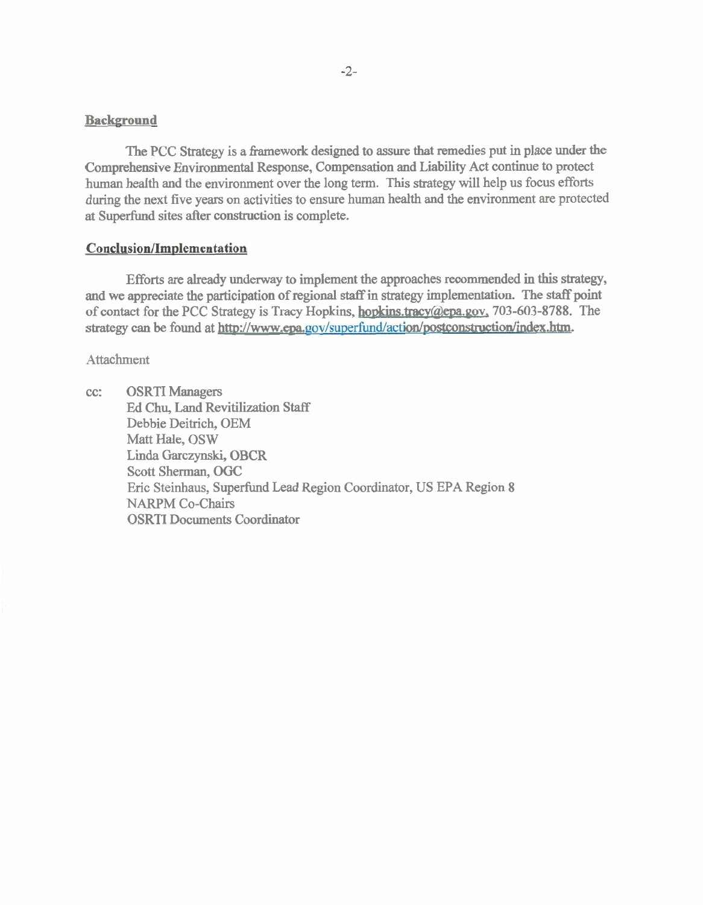#### **Background**

The PCC Strategy is a framework designed to assure that remedies put in place under the Comprehensive Environmental Response, Compensation and Liability Act continue to protect human health and the environment over the long term. This strategy will help us focus efforts during the next five years on activities to ensure human health and the environment are protected at Superfund sites after construction is complete.

#### **Conclusion/Implementation**

Efforts are already underway to implement the approaches recommended in this strategy, and we appreciate the participation of regional staff in strategy implementation. The **staff** point of contact for the PCC Strategy is Tracy Hopkins, **hopkins.tracy@epa.gov**, 703-603-8788. The strategy can be found at http://www.epa.gov/superfund/action/postconstruction/index.htm.

**Attachment** 

cc: OSRTI Managers Ed Chu, Land Revitilization Staff Debbie Deitrich, OEM Matt Hale, OSW Linda Garczynski, OBCR Scott Sherman, OGC Eric Steinhaus, Superfund Lead Region Coordinator, US EPA Region **8**  NARPM Co-Chairs OSRTI Documents Coordinator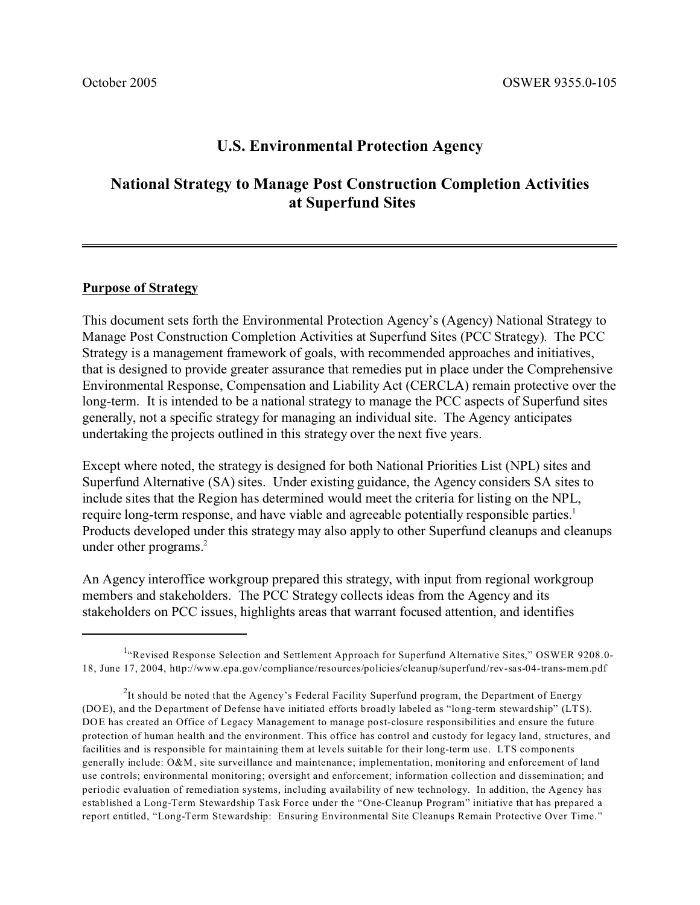# **U.S. Environmental Protection Agency**

# **National Strategy to Manage Post Construction Completion Activities at Superfund Sites**

#### **Purpose of Strategy**

This document sets forth the Environmental Protection Agency's (Agency) National Strategy to Manage Post Construction Completion Activities at Superfund Sites (PCC Strategy). The PCC Strategy is a management framework of goals, with recommended approaches and initiatives, that is designed to provide greater assurance that remedies put in place under the Comprehensive Environmental Response, Compensation and Liability Act (CERCLA) remain protective over the long-term. It is intended to be a national strategy to manage the PCC aspects of Superfund sites generally, not a specific strategy for managing an individual site. The Agency anticipates undertaking the projects outlined in this strategy over the next five years.

Except where noted, the strategy is designed for both National Priorities List (NPL) sites and Superfund Alternative (SA) sites. Under existing guidance, the Agency considers SA sites to include sites that the Region has determined would meet the criteria for listing on the NPL, require long-term response, and have viable and agreeable potentially responsible parties.<sup>1</sup> Products developed under this strategy may also apply to other Superfund cleanups and cleanups under other programs.<sup>2</sup>

An Agency interoffice workgroup prepared this strategy, with input from regional workgroup members and stakeholders. The PCC Strategy collects ideas from the Agency and its stakeholders on PCC issues, highlights areas that warrant focused attention, and identifies

<sup>&</sup>lt;sup>1.</sup> Revised Response Selection and Settlement Approach for Superfund Alternative Sites," OSWER 9208.0-18, June 17, 2004, http://www.epa.gov/compliance/resources/policies/cleanup/superfund/rev-sas-04-trans-mem.pdf

 $^{2}$ It should be noted that the Agency's Federal Facility Superfund program, the Department of Energy (DOE), and the Department of Defense have initiated efforts broadly labeled as "long-term stewardship" (LTS). DOE has created an Office of Legacy Management to manage post-closure responsibilities and ensure the future protection of human health and the environment. This office has control and custody for legacy land, structures, and facilities and is responsible for maintaining them at levels suitable for their long-term use. LTS components generally include: O&M, site surveillance and maintenance; implementation, monitoring and enforcement of land use controls; environmental monitoring; oversight and enforcement; information collection and dissemination; and periodic evaluation of remediation systems, including availability of new technology. In addition, the Agency has established a Long-Term Stewardship Task Force under the "One-Cleanup Program" initiative that has prepared a report entitled, "Long-Term Stewardship: Ensuring Environmental Site Cleanups Remain Protective Over Time."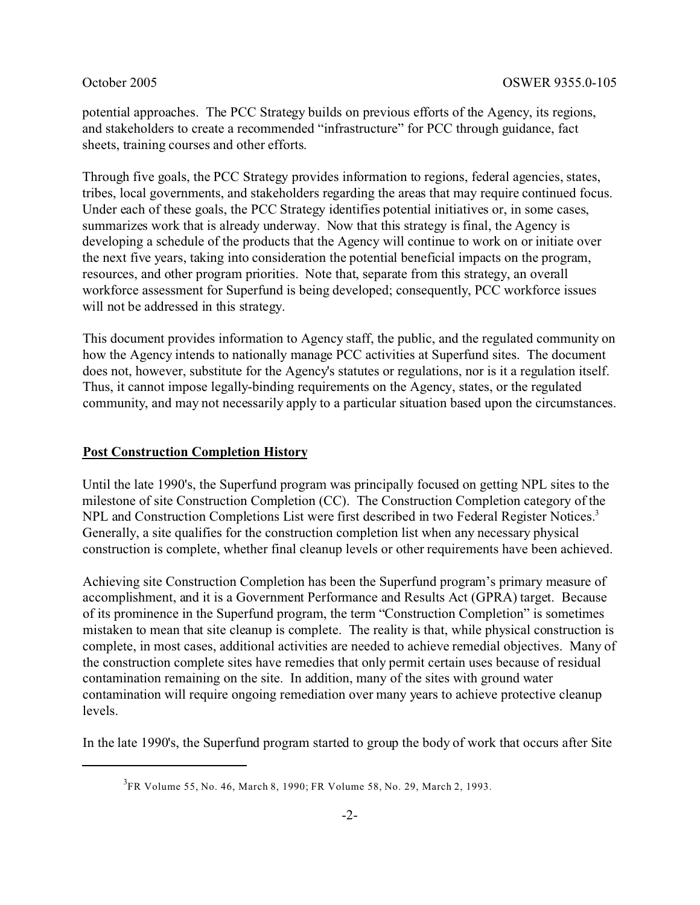potential approaches. The PCC Strategy builds on previous efforts of the Agency, its regions, and stakeholders to create a recommended "infrastructure" for PCC through guidance, fact sheets, training courses and other efforts.

Through five goals, the PCC Strategy provides information to regions, federal agencies, states, tribes, local governments, and stakeholders regarding the areas that may require continued focus. Under each of these goals, the PCC Strategy identifies potential initiatives or, in some cases, summarizes work that is already underway. Now that this strategy is final, the Agency is developing a schedule of the products that the Agency will continue to work on or initiate over the next five years, taking into consideration the potential beneficial impacts on the program, resources, and other program priorities. Note that, separate from this strategy, an overall workforce assessment for Superfund is being developed; consequently, PCC workforce issues will not be addressed in this strategy.

This document provides information to Agency staff, the public, and the regulated community on how the Agency intends to nationally manage PCC activities at Superfund sites. The document does not, however, substitute for the Agency's statutes or regulations, nor is it a regulation itself. Thus, it cannot impose legally-binding requirements on the Agency, states, or the regulated community, and may not necessarily apply to a particular situation based upon the circumstances.

#### **Post Construction Completion History**

Until the late 1990's, the Superfund program was principally focused on getting NPL sites to the milestone of site Construction Completion (CC). The Construction Completion category of the NPL and Construction Completions List were first described in two Federal Register Notices.<sup>3</sup> Generally, a site qualifies for the construction completion list when any necessary physical construction is complete, whether final cleanup levels or other requirements have been achieved.

Achieving site Construction Completion has been the Superfund program's primary measure of accomplishment, and it is a Government Performance and Results Act (GPRA) target. Because of its prominence in the Superfund program, the term "Construction Completion" is sometimes mistaken to mean that site cleanup is complete. The reality is that, while physical construction is complete, in most cases, additional activities are needed to achieve remedial objectives. Many of the construction complete sites have remedies that only permit certain uses because of residual contamination remaining on the site. In addition, many of the sites with ground water contamination will require ongoing remediation over many years to achieve protective cleanup levels.

In the late 1990's, the Superfund program started to group the body of work that occurs after Site

<sup>3</sup> FR Volume 55, No. 46, March 8, 1990; FR Volume 58, No. 29, March 2, 1993.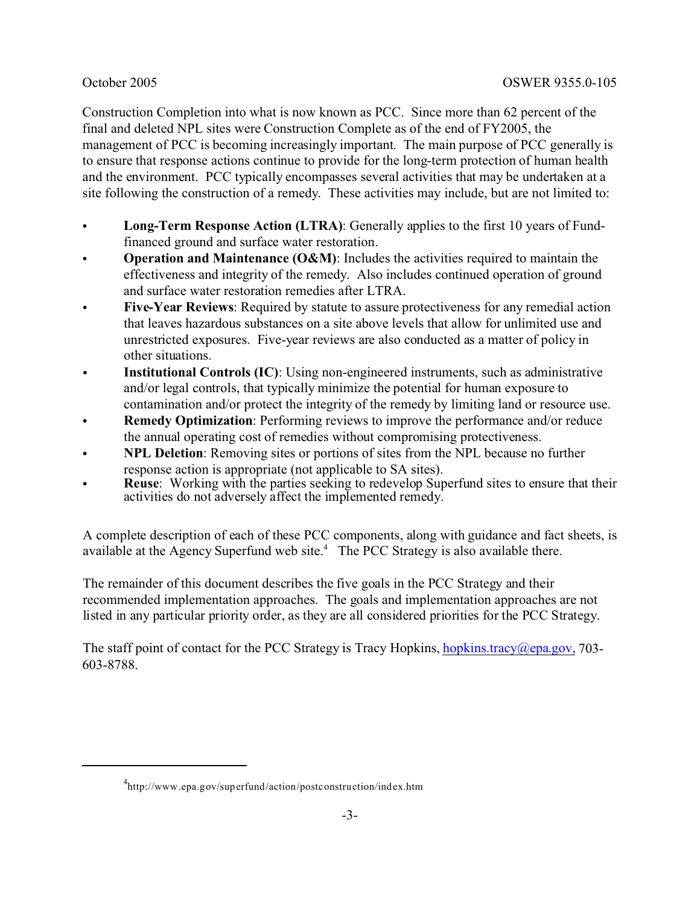Construction Completion into what is now known as PCC. Since more than 62 percent of the final and deleted NPL sites were Construction Complete as of the end of FY2005, the management of PCC is becoming increasingly important. The main purpose of PCC generally is to ensure that response actions continue to provide for the long-term protection of human health and the environment. PCC typically encompasses several activities that may be undertaken at a site following the construction of a remedy. These activities may include, but are not limited to:

- Long-Term Response Action (LTRA): Generally applies to the first 10 years of Fundfinanced ground and surface water restoration.
- **Operation and Maintenance (O&M):** Includes the activities required to maintain the effectiveness and integrity of the remedy. Also includes continued operation of ground and surface water restoration remedies after LTRA.
- **Five-Year Reviews:** Required by statute to assure protectiveness for any remedial action that leaves hazardous substances on a site above levels that allow for unlimited use and unrestricted exposures. Five-year reviews are also conducted as a matter of policy in other situations.
- **Institutional Controls (IC)**: Using non-engineered instruments, such as administrative and/or legal controls, that typically minimize the potential for human exposure to contamination and/or protect the integrity of the remedy by limiting land or resource use.
- **Remedy Optimization:** Performing reviews to improve the performance and/or reduce the annual operating cost of remedies without compromising protectiveness.
- **NPL Deletion**: Removing sites or portions of sites from the NPL because no further response action is appropriate (not applicable to SA sites).
- **Reuse:** Working with the parties seeking to redevelop Superfund sites to ensure that their activities do not adversely affect the implemented remedy.

A complete description of each of these PCC components, along with guidance and fact sheets, is available at the Agency Superfund web site. $4$  The PCC Strategy is also available there.

The remainder of this document describes the five goals in the PCC Strategy and their recommended implementation approaches. The goals and implementation approaches are not listed in any particular priority order, as they are all considered priorities for the PCC Strategy.

The staff point of contact for the PCC Strategy is Tracy Hopkins, hopkins, tracy  $(a)$ epa.gov, 703-603-8788.

<sup>4</sup> http://www.epa.gov/superfund/action/postconstruction/index.htm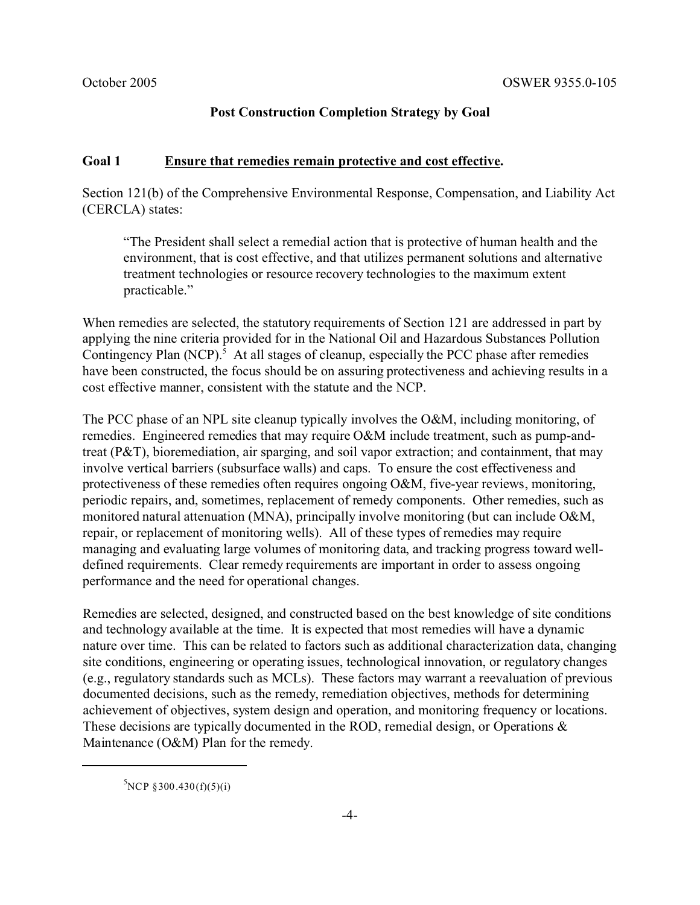### **Post Construction Completion Strategy by Goal**

#### **Goal 1 Ensure that remedies remain protective and cost effective.**

Section 121(b) of the Comprehensive Environmental Response, Compensation, and Liability Act (CERCLA) states:

"The President shall select a remedial action that is protective of human health and the environment, that is cost effective, and that utilizes permanent solutions and alternative treatment technologies or resource recovery technologies to the maximum extent practicable."

When remedies are selected, the statutory requirements of Section 121 are addressed in part by applying the nine criteria provided for in the National Oil and Hazardous Substances Pollution Contingency Plan (NCP).<sup>5</sup> At all stages of cleanup, especially the PCC phase after remedies have been constructed, the focus should be on assuring protectiveness and achieving results in a cost effective manner, consistent with the statute and the NCP.

The PCC phase of an NPL site cleanup typically involves the O&M, including monitoring, of remedies. Engineered remedies that may require O&M include treatment, such as pump-andtreat (P&T), bioremediation, air sparging, and soil vapor extraction; and containment, that may involve vertical barriers (subsurface walls) and caps. To ensure the cost effectiveness and protectiveness of these remedies often requires ongoing O&M, five-year reviews, monitoring, periodic repairs, and, sometimes, replacement of remedy components. Other remedies, such as monitored natural attenuation (MNA), principally involve monitoring (but can include O&M, repair, or replacement of monitoring wells). All of these types of remedies may require managing and evaluating large volumes of monitoring data, and tracking progress toward welldefined requirements. Clear remedy requirements are important in order to assess ongoing performance and the need for operational changes.

Remedies are selected, designed, and constructed based on the best knowledge of site conditions and technology available at the time. It is expected that most remedies will have a dynamic nature over time. This can be related to factors such as additional characterization data, changing site conditions, engineering or operating issues, technological innovation, or regulatory changes (e.g., regulatory standards such as MCLs). These factors may warrant a reevaluation of previous documented decisions, such as the remedy, remediation objectives, methods for determining achievement of objectives, system design and operation, and monitoring frequency or locations. These decisions are typically documented in the ROD, remedial design, or Operations & Maintenance (O&M) Plan for the remedy.

 ${}^{5}$ NCP §300.430(f)(5)(i)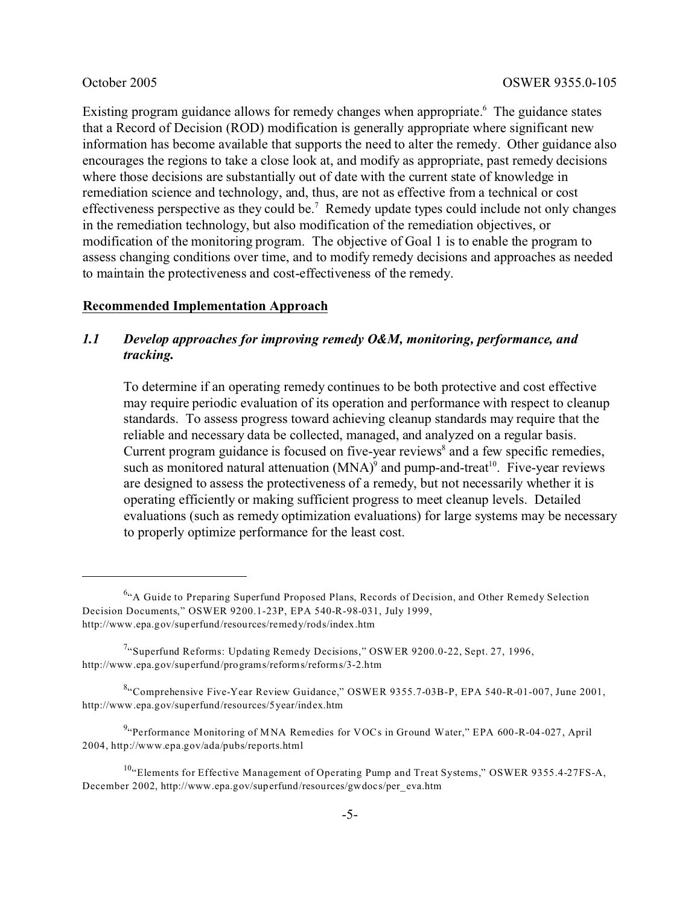Existing program guidance allows for remedy changes when appropriate.<sup>6</sup> The guidance states that a Record of Decision (ROD) modification is generally appropriate where significant new information has become available that supports the need to alter the remedy. Other guidance also encourages the regions to take a close look at, and modify as appropriate, past remedy decisions where those decisions are substantially out of date with the current state of knowledge in remediation science and technology, and, thus, are not as effective from a technical or cost effectiveness perspective as they could be.<sup>7</sup> Remedy update types could include not only changes in the remediation technology, but also modification of the remediation objectives, or modification of the monitoring program. The objective of Goal 1 is to enable the program to assess changing conditions over time, and to modify remedy decisions and approaches as needed to maintain the protectiveness and cost-effectiveness of the remedy.

#### **Recommended Implementation Approach**

# *1.1 Develop approaches for improving remedy O&M, monitoring, performance, and tracking.*

To determine if an operating remedy continues to be both protective and cost effective may require periodic evaluation of its operation and performance with respect to cleanup standards. To assess progress toward achieving cleanup standards may require that the reliable and necessary data be collected, managed, and analyzed on a regular basis. Current program guidance is focused on five-year reviews<sup>8</sup> and a few specific remedies, such as monitored natural attenuation  $(MNA)^9$  and pump-and-treat<sup>10</sup>. Five-year reviews are designed to assess the protectiveness of a remedy, but not necessarily whether it is operating efficiently or making sufficient progress to meet cleanup levels. Detailed evaluations (such as remedy optimization evaluations) for large systems may be necessary to properly optimize performance for the least cost.

<sup>&</sup>lt;sup>6.</sup> A Guide to Preparing Superfund Proposed Plans, Records of Decision, and Other Remedy Selection Decision Documents," OSWER 9200.1-23P, EPA 540-R-98-031, July 1999, http://www.epa.gov/superfund/resources/remedy/rods/index.htm

<sup>&</sup>lt;sup>7</sup> Superfund Reforms: Updating Remedy Decisions," OSWER 9200.0-22, Sept. 27, 1996, http://www.epa.gov/superfund/programs/reforms/reforms/3-2.htm

<sup>&</sup>lt;sup>8.</sup> Comprehensive Five-Year Review Guidance," OSWER 9355.7-03B-P, EPA 540-R-01-007, June 2001, http://www.epa.gov/superfund/resources/5year/index.htm

<sup>&</sup>lt;sup>9.</sup> Performance Monitoring of MNA Remedies for VOCs in Ground Water," EPA 600-R-04-027, April 2004, http://www.epa.gov/ada/pubs/reports.html

 $10^{10}$ "Elements for Effective Management of Operating Pump and Treat Systems," OSWER 9355.4-27FS-A, December 2002, http://www.epa.gov/superfund/resources/gwdocs/per\_eva.htm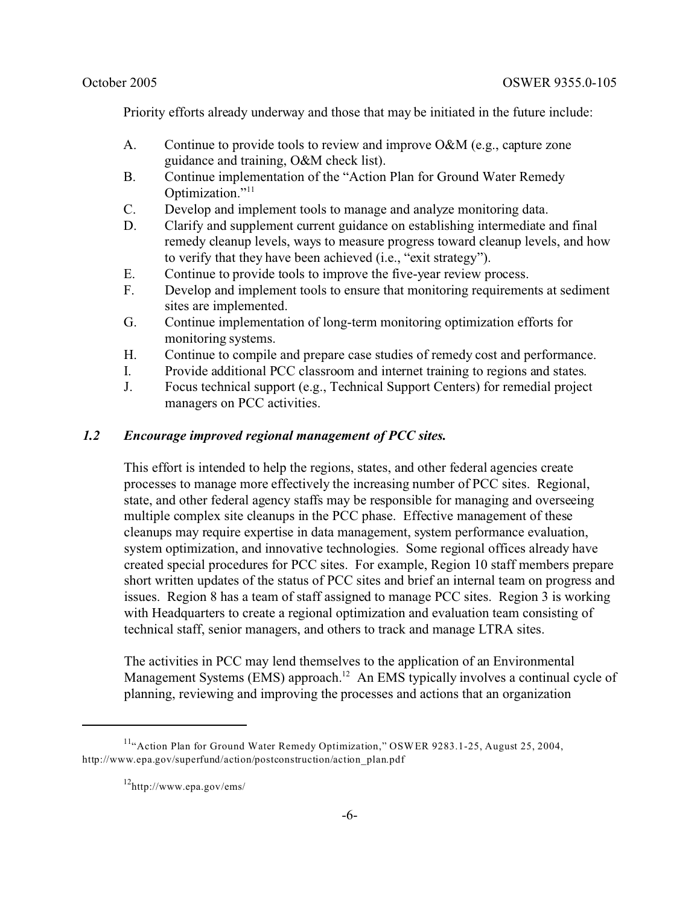Priority efforts already underway and those that may be initiated in the future include:

- A. Continue to provide tools to review and improve O&M (e.g., capture zone guidance and training, O&M check list).
- B. Continue implementation of the "Action Plan for Ground Water Remedy" Optimization."<sup>11</sup>
- C. Develop and implement tools to manage and analyze monitoring data.
- D. Clarify and supplement current guidance on establishing intermediate and final remedy cleanup levels, ways to measure progress toward cleanup levels, and how to verify that they have been achieved (i.e., "exit strategy").
- E. Continue to provide tools to improve the five-year review process.
- F. Develop and implement tools to ensure that monitoring requirements at sediment sites are implemented.
- G. Continue implementation of long-term monitoring optimization efforts for monitoring systems.
- H. Continue to compile and prepare case studies of remedy cost and performance.
- I. Provide additional PCC classroom and internet training to regions and states.
- J. Focus technical support (e.g., Technical Support Centers) for remedial project managers on PCC activities.

#### *1.2 Encourage improved regional management of PCC sites.*

This effort is intended to help the regions, states, and other federal agencies create processes to manage more effectively the increasing number of PCC sites. Regional, state, and other federal agency staffs may be responsible for managing and overseeing multiple complex site cleanups in the PCC phase. Effective management of these cleanups may require expertise in data management, system performance evaluation, system optimization, and innovative technologies. Some regional offices already have created special procedures for PCC sites. For example, Region 10 staff members prepare short written updates of the status of PCC sites and brief an internal team on progress and issues. Region 8 has a team of staff assigned to manage PCC sites. Region 3 is working with Headquarters to create a regional optimization and evaluation team consisting of technical staff, senior managers, and others to track and manage LTRA sites.

The activities in PCC may lend themselves to the application of an Environmental Management Systems (EMS) approach.<sup>12</sup> An EMS typically involves a continual cycle of planning, reviewing and improving the processes and actions that an organization

<sup>&</sup>lt;sup>11</sup>"Action Plan for Ground Water Remedy Optimization," OSWER 9283.1-25, August 25, 2004, http://www.epa.gov/superfund/action/postconstruction/action\_plan.pdf

 $12$ http://www.epa.gov/ems/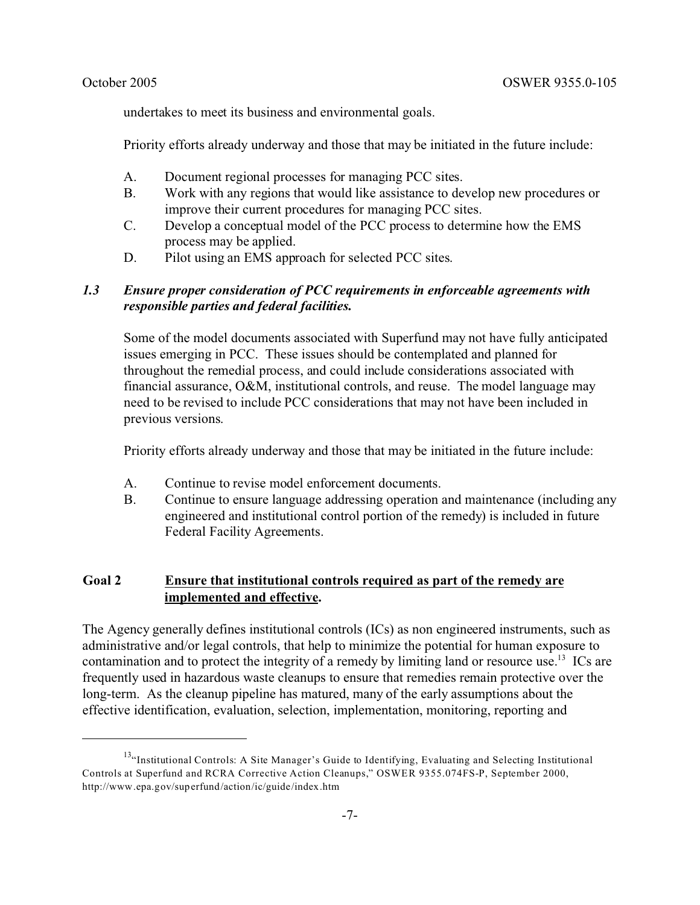undertakes to meet its business and environmental goals.

Priority efforts already underway and those that may be initiated in the future include:

- A. Document regional processes for managing PCC sites.
- B. Work with any regions that would like assistance to develop new procedures or improve their current procedures for managing PCC sites.
- C. Develop a conceptual model of the PCC process to determine how the EMS process may be applied.
- D. Pilot using an EMS approach for selected PCC sites.

# *1.3 Ensure proper consideration of PCC requirements in enforceable agreements with responsible parties and federal facilities.*

Some of the model documents associated with Superfund may not have fully anticipated issues emerging in PCC. These issues should be contemplated and planned for throughout the remedial process, and could include considerations associated with financial assurance, O&M, institutional controls, and reuse. The model language may need to be revised to include PCC considerations that may not have been included in previous versions.

Priority efforts already underway and those that may be initiated in the future include:

- A. Continue to revise model enforcement documents.
- B. Continue to ensure language addressing operation and maintenance (including any engineered and institutional control portion of the remedy) is included in future Federal Facility Agreements.

# **Goal 2 Ensure that institutional controls required as part of the remedy are implemented and effective.**

The Agency generally defines institutional controls (ICs) as non engineered instruments, such as administrative and/or legal controls, that help to minimize the potential for human exposure to contamination and to protect the integrity of a remedy by limiting land or resource use.<sup>13</sup> ICs are frequently used in hazardous waste cleanups to ensure that remedies remain protective over the long-term. As the cleanup pipeline has matured, many of the early assumptions about the effective identification, evaluation, selection, implementation, monitoring, reporting and

<sup>&</sup>lt;sup>13</sup>"Institutional Controls: A Site Manager's Guide to Identifying, Evaluating and Selecting Institutional Controls at Superfund and RCRA Corrective Action Cleanups," OSWER 9355.074FS-P, September 2000, http://www.epa.gov/superfund/action/ic/guide/index.htm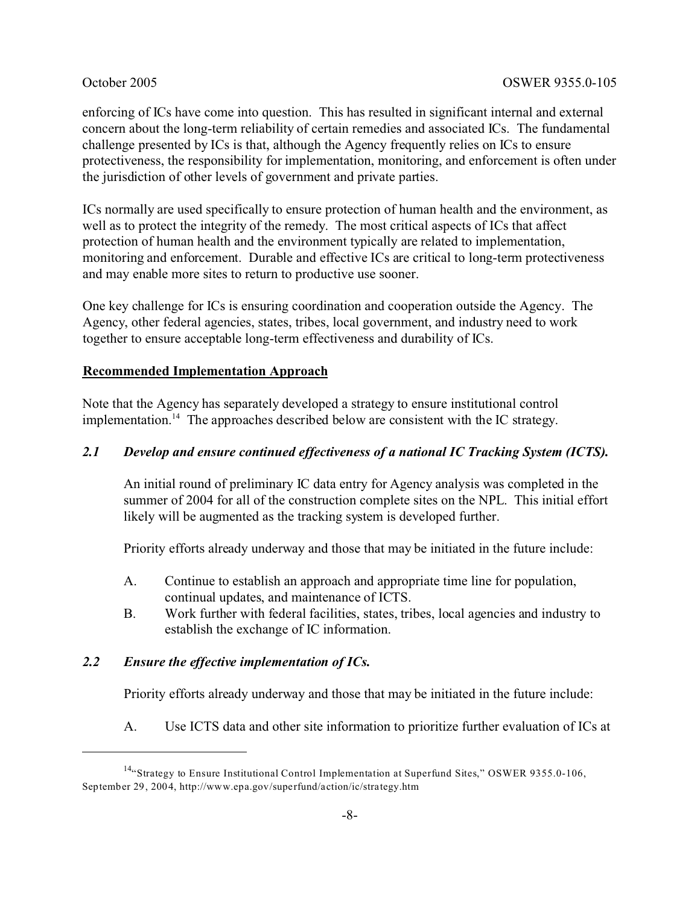enforcing of ICs have come into question. This has resulted in significant internal and external concern about the long-term reliability of certain remedies and associated ICs. The fundamental challenge presented by ICs is that, although the Agency frequently relies on ICs to ensure protectiveness, the responsibility for implementation, monitoring, and enforcement is often under the jurisdiction of other levels of government and private parties.

ICs normally are used specifically to ensure protection of human health and the environment, as well as to protect the integrity of the remedy. The most critical aspects of ICs that affect protection of human health and the environment typically are related to implementation, monitoring and enforcement. Durable and effective ICs are critical to long-term protectiveness and may enable more sites to return to productive use sooner.

One key challenge for ICs is ensuring coordination and cooperation outside the Agency. The Agency, other federal agencies, states, tribes, local government, and industry need to work together to ensure acceptable long-term effectiveness and durability of ICs.

#### **Recommended Implementation Approach**

Note that the Agency has separately developed a strategy to ensure institutional control implementation.<sup>14</sup> The approaches described below are consistent with the IC strategy.

### *2.1 Develop and ensure continued effectiveness of a national IC Tracking System (ICTS).*

An initial round of preliminary IC data entry for Agency analysis was completed in the summer of 2004 for all of the construction complete sites on the NPL. This initial effort likely will be augmented as the tracking system is developed further.

Priority efforts already underway and those that may be initiated in the future include:

- A. Continue to establish an approach and appropriate time line for population, continual updates, and maintenance of ICTS.
- B. Work further with federal facilities, states, tribes, local agencies and industry to establish the exchange of IC information.

### *2.2 Ensure the effective implementation of ICs.*

Priority efforts already underway and those that may be initiated in the future include:

A. Use ICTS data and other site information to prioritize further evaluation of ICs at

<sup>&</sup>lt;sup>14</sup>"Strategy to Ensure Institutional Control Implementation at Superfund Sites," OSWER 9355.0-106, September 29, 2004, http://www.epa.gov/superfund/action/ic/strategy.htm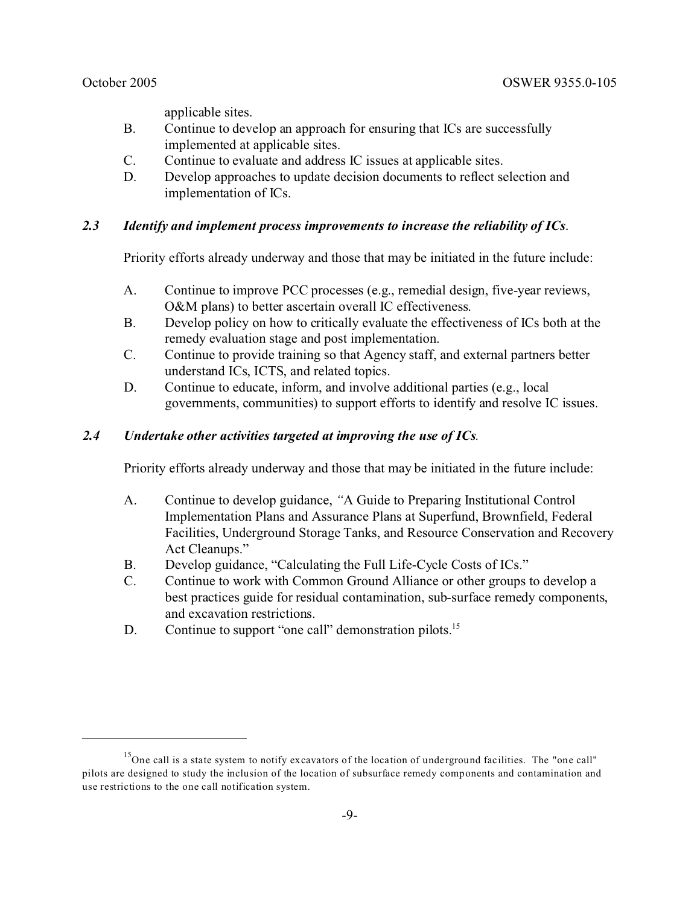applicable sites.

- B. Continue to develop an approach for ensuring that ICs are successfully implemented at applicable sites.
- C. Continue to evaluate and address IC issues at applicable sites.
- D. Develop approaches to update decision documents to reflect selection and implementation of ICs.

# *2.3 Identify and implement process improvements to increase the reliability of ICs*.

Priority efforts already underway and those that may be initiated in the future include:

- A. Continue to improve PCC processes (e.g., remedial design, five-year reviews, O&M plans) to better ascertain overall IC effectiveness.
- B. Develop policy on how to critically evaluate the effectiveness of ICs both at the remedy evaluation stage and post implementation.
- C. Continue to provide training so that Agency staff, and external partners better understand ICs, ICTS, and related topics.
- D. Continue to educate, inform, and involve additional parties (e.g., local governments, communities) to support efforts to identify and resolve IC issues.

# *2.4 Undertake other activities targeted at improving the use of ICs.*

Priority efforts already underway and those that may be initiated in the future include:

- A. Continue to develop guidance, *"*A Guide to Preparing Institutional Control Implementation Plans and Assurance Plans at Superfund, Brownfield, Federal Facilities, Underground Storage Tanks, and Resource Conservation and Recovery Act Cleanups."
- B. Develop guidance, "Calculating the Full Life-Cycle Costs of ICs."
- C. Continue to work with Common Ground Alliance or other groups to develop a best practices guide for residual contamination, sub-surface remedy components, and excavation restrictions.
- D. Continue to support "one call" demonstration pilots.<sup>15</sup>

<sup>&</sup>lt;sup>15</sup>One call is a state system to notify excavators of the location of underground facilities. The "one call" pilots are designed to study the inclusion of the location of subsurface remedy components and contamination and use restrictions to the one call notification system.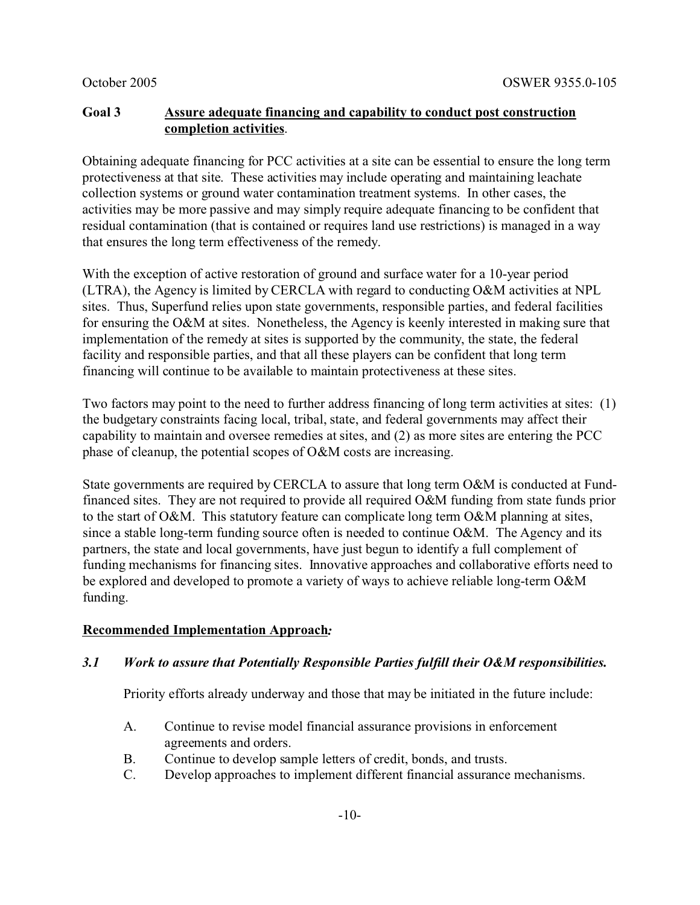## **Goal 3 Assure adequate financing and capability to conduct post construction completion activities**.

Obtaining adequate financing for PCC activities at a site can be essential to ensure the long term protectiveness at that site. These activities may include operating and maintaining leachate collection systems or ground water contamination treatment systems. In other cases, the activities may be more passive and may simply require adequate financing to be confident that residual contamination (that is contained or requires land use restrictions) is managed in a way that ensures the long term effectiveness of the remedy.

With the exception of active restoration of ground and surface water for a 10-year period (LTRA), the Agency is limited by CERCLA with regard to conducting O&M activities at NPL sites. Thus, Superfund relies upon state governments, responsible parties, and federal facilities for ensuring the O&M at sites. Nonetheless, the Agency is keenly interested in making sure that implementation of the remedy at sites is supported by the community, the state, the federal facility and responsible parties, and that all these players can be confident that long term financing will continue to be available to maintain protectiveness at these sites.

Two factors may point to the need to further address financing of long term activities at sites: (1) the budgetary constraints facing local, tribal, state, and federal governments may affect their capability to maintain and oversee remedies at sites, and (2) as more sites are entering the PCC phase of cleanup, the potential scopes of O&M costs are increasing.

State governments are required by CERCLA to assure that long term O&M is conducted at Fundfinanced sites. They are not required to provide all required O&M funding from state funds prior to the start of O&M. This statutory feature can complicate long term O&M planning at sites, since a stable long-term funding source often is needed to continue O&M. The Agency and its partners, the state and local governments, have just begun to identify a full complement of funding mechanisms for financing sites. Innovative approaches and collaborative efforts need to be explored and developed to promote a variety of ways to achieve reliable long-term O&M funding.

# **Recommended Implementation Approach***:*

### *3.1 Work to assure that Potentially Responsible Parties fulfill their O&M responsibilities.*

Priority efforts already underway and those that may be initiated in the future include:

- A. Continue to revise model financial assurance provisions in enforcement agreements and orders.
- B. Continue to develop sample letters of credit, bonds, and trusts.
- C. Develop approaches to implement different financial assurance mechanisms.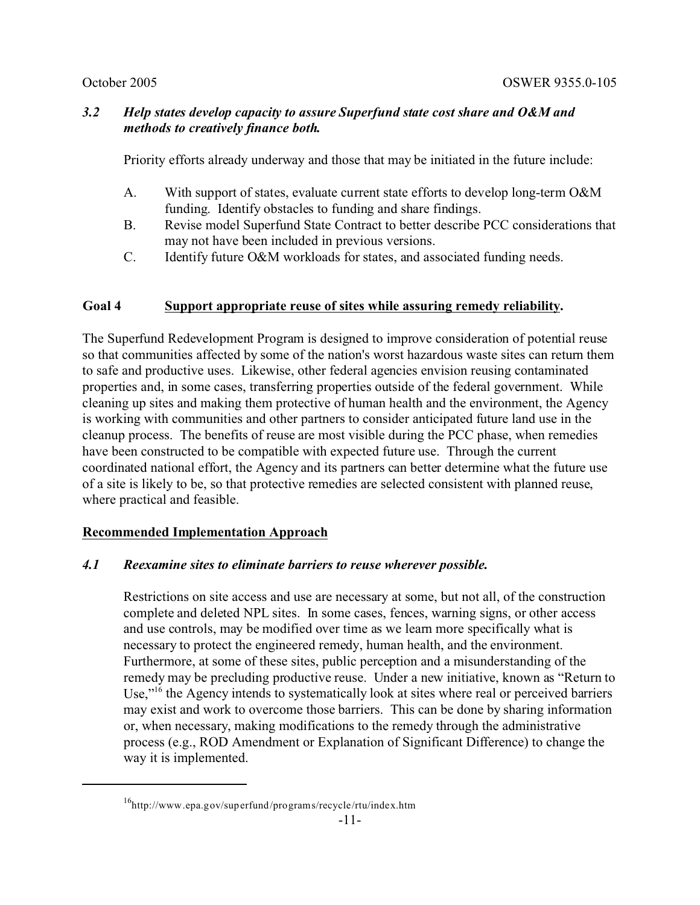# *3.2 Help states develop capacity to assure Superfund state cost share and O&M and methods to creatively finance both.*

Priority efforts already underway and those that may be initiated in the future include:

- A. With support of states, evaluate current state efforts to develop long-term O&M funding. Identify obstacles to funding and share findings.
- B. Revise model Superfund State Contract to better describe PCC considerations that may not have been included in previous versions.
- C. Identify future O&M workloads for states, and associated funding needs.

# **Goal 4 Support appropriate reuse of sites while assuring remedy reliability.**

The Superfund Redevelopment Program is designed to improve consideration of potential reuse so that communities affected by some of the nation's worst hazardous waste sites can return them to safe and productive uses. Likewise, other federal agencies envision reusing contaminated properties and, in some cases, transferring properties outside of the federal government. While cleaning up sites and making them protective of human health and the environment, the Agency is working with communities and other partners to consider anticipated future land use in the cleanup process. The benefits of reuse are most visible during the PCC phase, when remedies have been constructed to be compatible with expected future use. Through the current coordinated national effort, the Agency and its partners can better determine what the future use of a site is likely to be, so that protective remedies are selected consistent with planned reuse, where practical and feasible.

### **Recommended Implementation Approach**

### *4.1 Reexamine sites to eliminate barriers to reuse wherever possible.*

Restrictions on site access and use are necessary at some, but not all, of the construction complete and deleted NPL sites. In some cases, fences, warning signs, or other access and use controls, may be modified over time as we learn more specifically what is necessary to protect the engineered remedy, human health, and the environment. Furthermore, at some of these sites, public perception and a misunderstanding of the remedy may be precluding productive reuse. Under a new initiative, known as "Return to Use,"<sup>16</sup> the Agency intends to systematically look at sites where real or perceived barriers may exist and work to overcome those barriers. This can be done by sharing information or, when necessary, making modifications to the remedy through the administrative process (e.g., ROD Amendment or Explanation of Significant Difference) to change the way it is implemented.

<sup>16</sup>http://www.epa.gov/superfund/programs/recycle/rtu/index.htm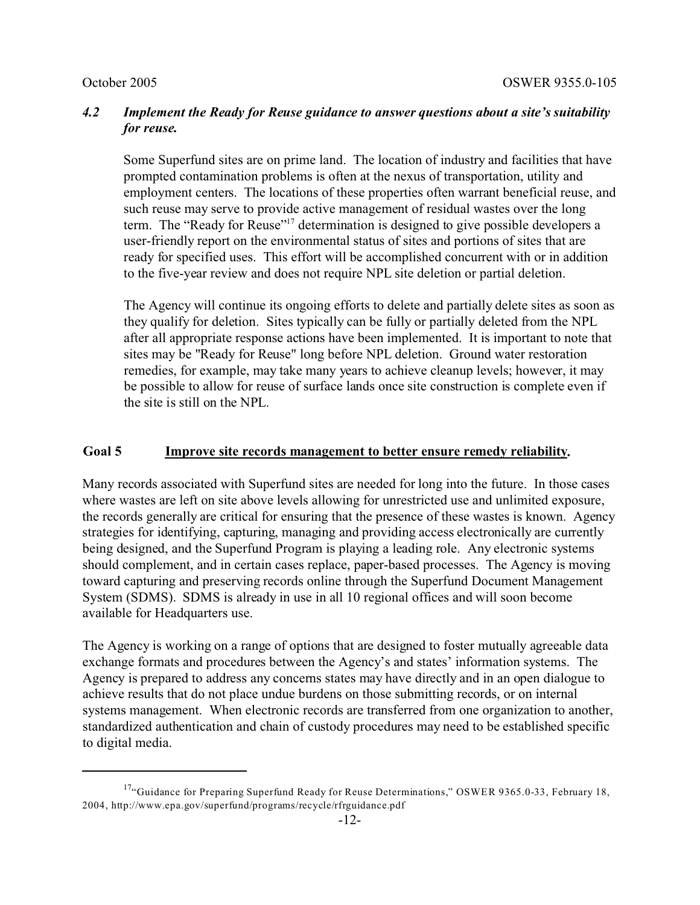# *4.2 Implement the Ready for Reuse guidance to answer questions about a site's suitability for reuse.*

Some Superfund sites are on prime land. The location of industry and facilities that have prompted contamination problems is often at the nexus of transportation, utility and employment centers. The locations of these properties often warrant beneficial reuse, and such reuse may serve to provide active management of residual wastes over the long term. The "Ready for Reuse"17 determination is designed to give possible developers a user-friendly report on the environmental status of sites and portions of sites that are ready for specified uses. This effort will be accomplished concurrent with or in addition to the five-year review and does not require NPL site deletion or partial deletion.

The Agency will continue its ongoing efforts to delete and partially delete sites as soon as they qualify for deletion. Sites typically can be fully or partially deleted from the NPL after all appropriate response actions have been implemented. It is important to note that sites may be "Ready for Reuse" long before NPL deletion. Ground water restoration remedies, for example, may take many years to achieve cleanup levels; however, it may be possible to allow for reuse of surface lands once site construction is complete even if the site is still on the NPL.

#### **Goal 5 Improve site records management to better ensure remedy reliability.**

Many records associated with Superfund sites are needed for long into the future. In those cases where wastes are left on site above levels allowing for unrestricted use and unlimited exposure, the records generally are critical for ensuring that the presence of these wastes is known. Agency strategies for identifying, capturing, managing and providing access electronically are currently being designed, and the Superfund Program is playing a leading role. Any electronic systems should complement, and in certain cases replace, paper-based processes. The Agency is moving toward capturing and preserving records online through the Superfund Document Management System (SDMS). SDMS is already in use in all 10 regional offices and will soon become available for Headquarters use.

The Agency is working on a range of options that are designed to foster mutually agreeable data exchange formats and procedures between the Agency's and states' information systems. The Agency is prepared to address any concerns states may have directly and in an open dialogue to achieve results that do not place undue burdens on those submitting records, or on internal systems management. When electronic records are transferred from one organization to another, standardized authentication and chain of custody procedures may need to be established specific to digital media.

<sup>&</sup>lt;sup>17</sup>"Guidance for Preparing Superfund Ready for Reuse Determinations," OSWER 9365.0-33, February 18, 2004, http://www.epa.gov/superfund/programs/recycle/rfrguidance.pdf